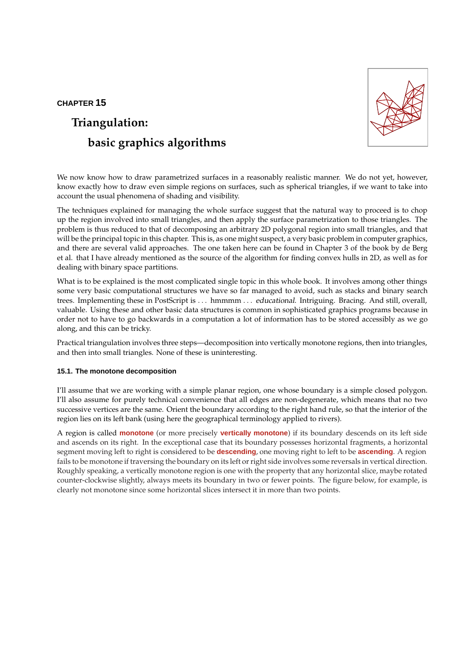# **CHAPTER 15**

# **Triangulation: basic graphics algorithms**



We now know how to draw parametrized surfaces in a reasonably realistic manner. We do not yet, however, know exactly how to draw even simple regions on surfaces, such as spherical triangles, if we want to take into account the usual phenomena of shading and visibility.

The techniques explained for managing the whole surface suggest that the natural way to proceed is to chop up the region involved into small triangles, and then apply the surface parametrization to those triangles. The problem is thus reduced to that of decomposing an arbitrary 2D polygonal region into small triangles, and that will be the principal topic in this chapter. This is, as one might suspect, a very basic problem in computer graphics, and there are several valid approaches. The one taken here can be found in Chapter 3 of the book by de Berg et al. that I have already mentioned as the source of the algorithm for finding convex hulls in 2D, as well as for dealing with binary space partitions.

What is to be explained is the most complicated single topic in this whole book. It involves among other things some very basic computational structures we have so far managed to avoid, such as stacks and binary search trees. Implementing these in PostScript is . . . hmmmm . . . educational. Intriguing. Bracing. And still, overall, valuable. Using these and other basic data structures is common in sophisticated graphics programs because in order not to have to go backwards in a computation a lot of information has to be stored accessibly as we go along, and this can be tricky.

Practical triangulation involves three steps—decomposition into vertically monotone regions, then into triangles, and then into small triangles. None of these is uninteresting.

## **15.1. The monotone decomposition**

I'll assume that we are working with a simple planar region, one whose boundary is a simple closed polygon. I'll also assume for purely technical convenience that all edges are non-degenerate, which means that no two successive vertices are the same. Orient the boundary according to the right hand rule, so that the interior of the region lies on its left bank (using here the geographical terminology applied to rivers).

A region is called **monotone** (or more precisely **vertically monotone**) if its boundary descends on its left side and ascends on its right. In the exceptional case that its boundary possesses horizontal fragments, a horizontal segment moving left to right is considered to be **descending**, one moving right to left to be **ascending**. A region fails to be monotone if traversing the boundary on its left or right side involves some reversals in vertical direction. Roughly speaking, a vertically monotone region is one with the property that any horizontal slice, maybe rotated counter-clockwise slightly, always meets its boundary in two or fewer points. The figure below, for example, is clearly not monotone since some horizontal slices intersect it in more than two points.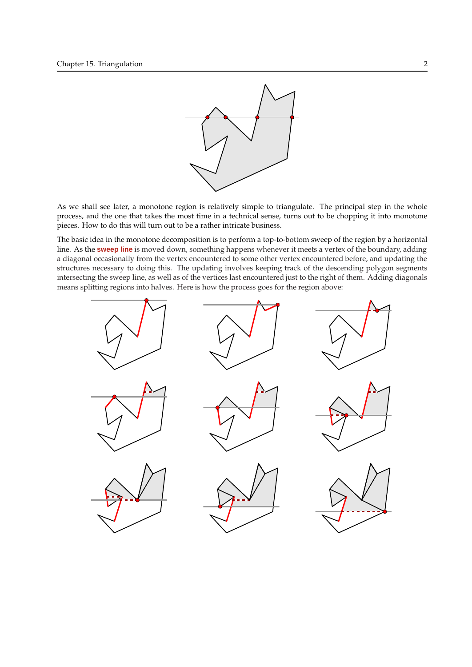

As we shall see later, a monotone region is relatively simple to triangulate. The principal step in the whole process, and the one that takes the most time in a technical sense, turns out to be chopping it into monotone pieces. How to do this will turn out to be a rather intricate business.

The basic idea in the monotone decomposition is to perform a top-to-bottom sweep of the region by a horizontal line. As the **sweep line** is moved down, something happens whenever it meets a vertex of the boundary, adding a diagonal occasionally from the vertex encountered to some other vertex encountered before, and updating the structures necessary to doing this. The updating involves keeping track of the descending polygon segments intersecting the sweep line, as well as of the vertices last encountered just to the right of them. Adding diagonals means splitting regions into halves. Here is how the process goes for the region above:

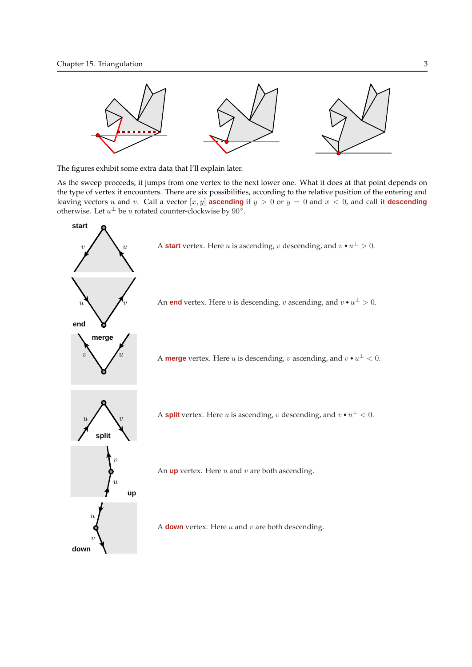

The figures exhibit some extra data that I'll explain later.

As the sweep proceeds, it jumps from one vertex to the next lower one. What it does at that point depends on the type of vertex it encounters. There are six possibilities, according to the relative position of the entering and leaving vectors u and v. Call a vector  $[x, y]$  **ascending** if  $y > 0$  or  $y = 0$  and  $x < 0$ , and call it **descending** otherwise. Let  $u^{\perp}$  be u rotated counter-clockwise by  $90^{\circ}$ .

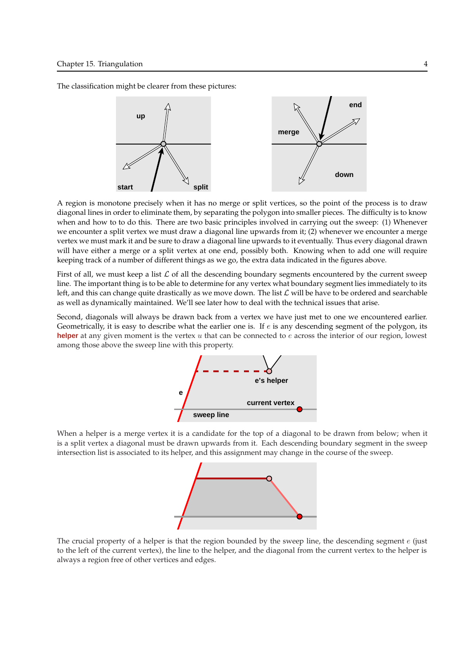The classification might be clearer from these pictures:



A region is monotone precisely when it has no merge or split vertices, so the point of the process is to draw diagonal lines in order to eliminate them, by separating the polygon into smaller pieces. The difficulty is to know when and how to to do this. There are two basic principles involved in carrying out the sweep: (1) Whenever we encounter a split vertex we must draw a diagonal line upwards from it; (2) whenever we encounter a merge vertex we must mark it and be sure to draw a diagonal line upwards to it eventually. Thus every diagonal drawn will have either a merge or a split vertex at one end, possibly both. Knowing when to add one will require keeping track of a number of different things as we go, the extra data indicated in the figures above.

First of all, we must keep a list  $\mathcal L$  of all the descending boundary segments encountered by the current sweep line. The important thing is to be able to determine for any vertex what boundary segment lies immediately to its left, and this can change quite drastically as we move down. The list  $\mathcal L$  will be have to be ordered and searchable as well as dynamically maintained. We'll see later how to deal with the technical issues that arise.

Second, diagonals will always be drawn back from a vertex we have just met to one we encountered earlier. Geometrically, it is easy to describe what the earlier one is. If  $e$  is any descending segment of the polygon, its **helper** at any given moment is the vertex u that can be connected to e across the interior of our region, lowest among those above the sweep line with this property.



When a helper is a merge vertex it is a candidate for the top of a diagonal to be drawn from below; when it is a split vertex a diagonal must be drawn upwards from it. Each descending boundary segment in the sweep intersection list is associated to its helper, and this assignment may change in the course of the sweep.



The crucial property of a helper is that the region bounded by the sweep line, the descending segment  $e$  (just to the left of the current vertex), the line to the helper, and the diagonal from the current vertex to the helper is always a region free of other vertices and edges.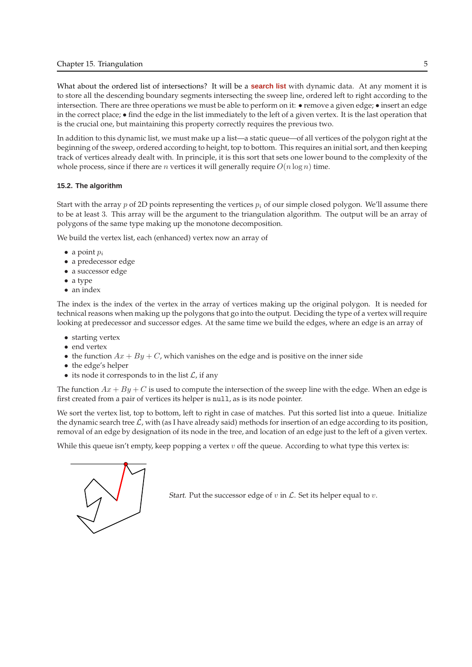What about the ordered list of intersections? It will be a **search list** with dynamic data. At any moment it is to store all the descending boundary segments intersecting the sweep line, ordered left to right according to the intersection. There are three operations we must be able to perform on it: • remove a given edge; • insert an edge in the correct place; • find the edge in the list immediately to the left of a given vertex. It is the last operation that is the crucial one, but maintaining this property correctly requires the previous two.

In addition to this dynamic list, we must make up a list—a static queue—of all vertices of the polygon right at the beginning of the sweep, ordered according to height, top to bottom. This requires an initial sort, and then keeping track of vertices already dealt with. In principle, it is this sort that sets one lower bound to the complexity of the whole process, since if there are *n* vertices it will generally require  $O(n \log n)$  time.

## **15.2. The algorithm**

Start with the array p of 2D points representing the vertices  $p_i$  of our simple closed polygon. We'll assume there to be at least 3. This array will be the argument to the triangulation algorithm. The output will be an array of polygons of the same type making up the monotone decomposition.

We build the vertex list, each (enhanced) vertex now an array of

- a point  $p_i$
- a predecessor edge
- a successor edge
- a type
- an index

The index is the index of the vertex in the array of vertices making up the original polygon. It is needed for technical reasons when making up the polygons that go into the output. Deciding the type of a vertex will require looking at predecessor and successor edges. At the same time we build the edges, where an edge is an array of

- starting vertex
- end vertex
- the function  $Ax + By + C$ , which vanishes on the edge and is positive on the inner side
- the edge's helper
- its node it corresponds to in the list  $\mathcal{L}$ , if any

The function  $Ax + By + C$  is used to compute the intersection of the sweep line with the edge. When an edge is first created from a pair of vertices its helper is null, as is its node pointer.

We sort the vertex list, top to bottom, left to right in case of matches. Put this sorted list into a queue. Initialize the dynamic search tree  $\mathcal{L}$ , with (as I have already said) methods for insertion of an edge according to its position, removal of an edge by designation of its node in the tree, and location of an edge just to the left of a given vertex.

While this queue isn't empty, keep popping a vertex  $v$  off the queue. According to what type this vertex is:



Start. Put the successor edge of  $v$  in  $\mathcal{L}$ . Set its helper equal to  $v$ .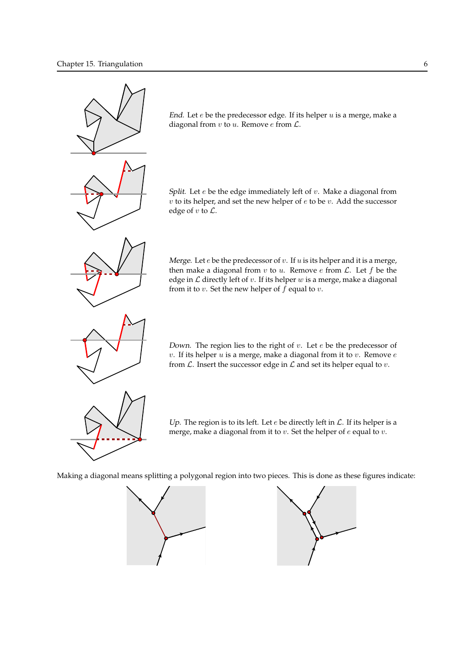

End. Let  $e$  be the predecessor edge. If its helper  $u$  is a merge, make a diagonal from  $v$  to  $u$ . Remove  $e$  from  $\mathcal{L}$ .

Split. Let  $e$  be the edge immediately left of  $v$ . Make a diagonal from  $v$  to its helper, and set the new helper of  $e$  to be  $v$ . Add the successor edge of  $v$  to  $\mathcal{L}$ .

Merge. Let  $e$  be the predecessor of  $v$ . If  $u$  is its helper and it is a merge, then make a diagonal from  $v$  to  $u$ . Remove  $e$  from  $\mathcal{L}$ . Let  $f$  be the edge in  $\mathcal L$  directly left of  $v$ . If its helper  $w$  is a merge, make a diagonal from it to  $v$ . Set the new helper of  $f$  equal to  $v$ .

Down. The region lies to the right of  $v$ . Let  $e$  be the predecessor of  $v$ . If its helper  $u$  is a merge, make a diagonal from it to  $v$ . Remove  $e$ from  $\mathcal L$ . Insert the successor edge in  $\mathcal L$  and set its helper equal to  $v$ .



Up. The region is to its left. Let  $e$  be directly left in  $\mathcal{L}$ . If its helper is a merge, make a diagonal from it to  $v$ . Set the helper of  $e$  equal to  $v$ .

Making a diagonal means splitting a polygonal region into two pieces. This is done as these figures indicate:



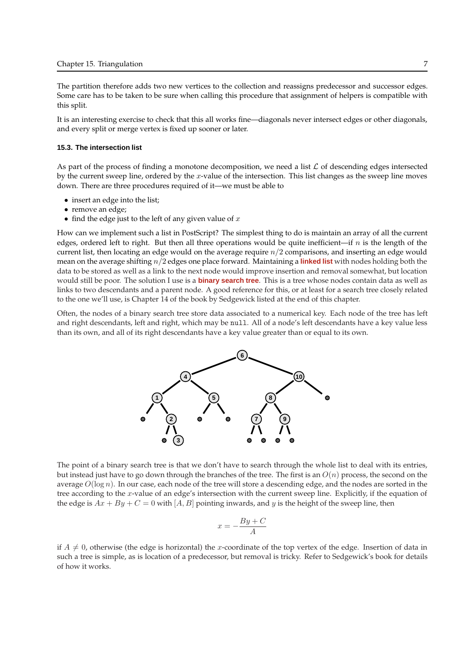The partition therefore adds two new vertices to the collection and reassigns predecessor and successor edges. Some care has to be taken to be sure when calling this procedure that assignment of helpers is compatible with this split.

It is an interesting exercise to check that this all works fine—diagonals never intersect edges or other diagonals, and every split or merge vertex is fixed up sooner or later.

#### **15.3. The intersection list**

As part of the process of finding a monotone decomposition, we need a list  $\mathcal L$  of descending edges intersected by the current sweep line, ordered by the x-value of the intersection. This list changes as the sweep line moves down. There are three procedures required of it—we must be able to

- insert an edge into the list;
- remove an edge;
- find the edge just to the left of any given value of  $x$

How can we implement such a list in PostScript? The simplest thing to do is maintain an array of all the current edges, ordered left to right. But then all three operations would be quite inefficient—if  $n$  is the length of the current list, then locating an edge would on the average require  $n/2$  comparisons, and inserting an edge would mean on the average shifting n/2 edges one place forward. Maintaining a **linked list** with nodes holding both the data to be stored as well as a link to the next node would improve insertion and removal somewhat, but location would still be poor. The solution I use is a **binary search tree**. This is a tree whose nodes contain data as well as links to two descendants and a parent node. A good reference for this, or at least for a search tree closely related to the one we'll use, is Chapter 14 of the book by Sedgewick listed at the end of this chapter.

Often, the nodes of a binary search tree store data associated to a numerical key. Each node of the tree has left and right descendants, left and right, which may be null. All of a node's left descendants have a key value less than its own, and all of its right descendants have a key value greater than or equal to its own.



The point of a binary search tree is that we don't have to search through the whole list to deal with its entries, but instead just have to go down through the branches of the tree. The first is an  $O(n)$  process, the second on the average  $O(\log n)$ . In our case, each node of the tree will store a descending edge, and the nodes are sorted in the tree according to the x-value of an edge's intersection with the current sweep line. Explicitly, if the equation of the edge is  $Ax + By + C = 0$  with [A, B] pointing inwards, and y is the height of the sweep line, then

$$
x = -\frac{By + C}{A}
$$

if  $A \neq 0$ , otherwise (the edge is horizontal) the x-coordinate of the top vertex of the edge. Insertion of data in such a tree is simple, as is location of a predecessor, but removal is tricky. Refer to Sedgewick's book for details of how it works.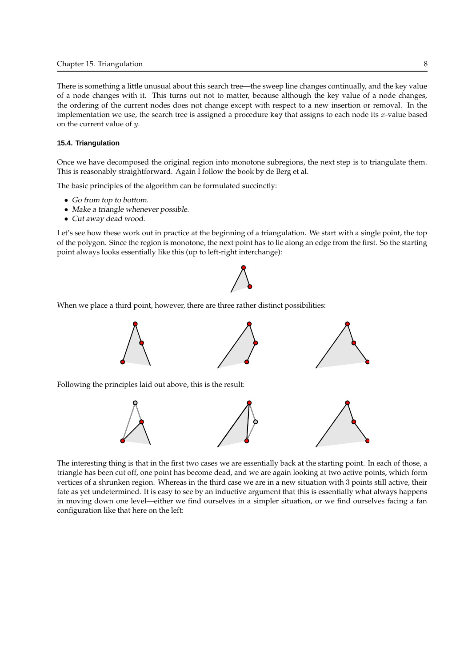#### Chapter 15. Triangulation 8

There is something a little unusual about this search tree—the sweep line changes continually, and the key value of a node changes with it. This turns out not to matter, because although the key value of a node changes, the ordering of the current nodes does not change except with respect to a new insertion or removal. In the implementation we use, the search tree is assigned a procedure key that assigns to each node its  $x$ -value based on the current value of  $y$ .

### **15.4. Triangulation**

Once we have decomposed the original region into monotone subregions, the next step is to triangulate them. This is reasonably straightforward. Again I follow the book by de Berg et al.

The basic principles of the algorithm can be formulated succinctly:

- Go from top to bottom.
- Make a triangle whenever possible.
- Cut away dead wood.

Let's see how these work out in practice at the beginning of a triangulation. We start with a single point, the top of the polygon. Since the region is monotone, the next point has to lie along an edge from the first. So the starting point always looks essentially like this (up to left-right interchange):



When we place a third point, however, there are three rather distinct possibilities:





The interesting thing is that in the first two cases we are essentially back at the starting point. In each of those, a triangle has been cut off, one point has become dead, and we are again looking at two active points, which form vertices of a shrunken region. Whereas in the third case we are in a new situation with 3 points still active, their fate as yet undetermined. It is easy to see by an inductive argument that this is essentially what always happens in moving down one level—either we find ourselves in a simpler situation, or we find ourselves facing a fan configuration like that here on the left: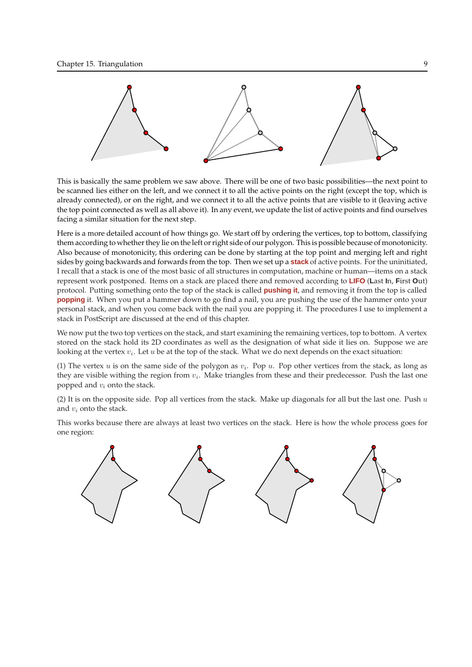

This is basically the same problem we saw above. There will be one of two basic possibilities—the next point to be scanned lies either on the left, and we connect it to all the active points on the right (except the top, which is already connected), or on the right, and we connect it to all the active points that are visible to it (leaving active the top point connected as well as all above it). In any event, we update the list of active points and find ourselves facing a similar situation for the next step.

Here is a more detailed account of how things go. We start off by ordering the vertices, top to bottom, classifying them according to whether they lie on the left or right side of our polygon. This is possible because of monotonicity. Also because of monotonicity, this ordering can be done by starting at the top point and merging left and right sides by going backwards and forwards from the top. Then we set up a **stack** of active points. For the uninitiated, I recall that a stack is one of the most basic of all structures in computation, machine or human—items on a stack represent work postponed. Items on a stack are placed there and removed according to **LIFO** (**L**ast **I**n, **F**irst **O**ut) protocol. Putting something onto the top of the stack is called **pushing it**, and removing it from the top is called **popping** it. When you put a hammer down to go find a nail, you are pushing the use of the hammer onto your personal stack, and when you come back with the nail you are popping it. The procedures I use to implement a stack in PostScript are discussed at the end of this chapter.

We now put the two top vertices on the stack, and start examining the remaining vertices, top to bottom. A vertex stored on the stack hold its 2D coordinates as well as the designation of what side it lies on. Suppose we are looking at the vertex  $v_i$ . Let  $u$  be at the top of the stack. What we do next depends on the exact situation:

(1) The vertex u is on the same side of the polygon as  $v_i$ . Pop u. Pop other vertices from the stack, as long as they are visible withing the region from  $v_i$ . Make triangles from these and their predecessor. Push the last one popped and  $v_i$  onto the stack.

(2) It is on the opposite side. Pop all vertices from the stack. Make up diagonals for all but the last one. Push  $u$ and  $v_i$  onto the stack.

This works because there are always at least two vertices on the stack. Here is how the whole process goes for one region:

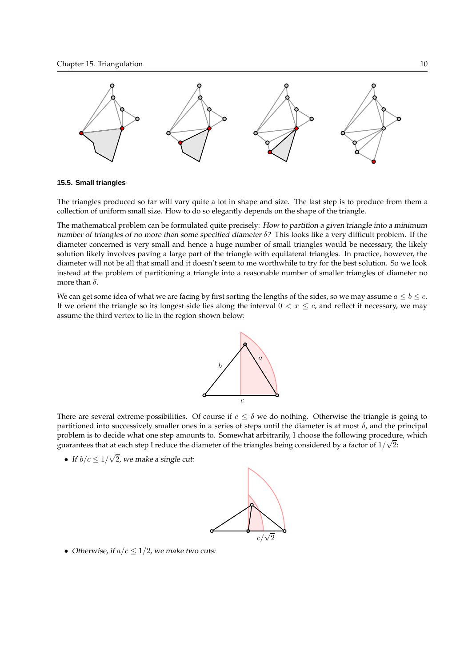

#### **15.5. Small triangles**

The triangles produced so far will vary quite a lot in shape and size. The last step is to produce from them a collection of uniform small size. How to do so elegantly depends on the shape of the triangle.

The mathematical problem can be formulated quite precisely: How to partition a given triangle into a minimum number of triangles of no more than some specified diameter  $\delta$ ? This looks like a very difficult problem. If the diameter concerned is very small and hence a huge number of small triangles would be necessary, the likely solution likely involves paving a large part of the triangle with equilateral triangles. In practice, however, the diameter will not be all that small and it doesn't seem to me worthwhile to try for the best solution. So we look instead at the problem of partitioning a triangle into a reasonable number of smaller triangles of diameter no more than  $\delta$ .

We can get some idea of what we are facing by first sorting the lengths of the sides, so we may assume  $a \le b \le c$ . If we orient the triangle so its longest side lies along the interval  $0 < x \leq c$ , and reflect if necessary, we may assume the third vertex to lie in the region shown below:



There are several extreme possibilities. Of course if  $c \leq \delta$  we do nothing. Otherwise the triangle is going to partitioned into successively smaller ones in a series of steps until the diameter is at most  $\delta$ , and the principal problem is to decide what one step amounts to. Somewhat arbitrarily, I choose the following procedure, which guarantees that at each step I reduce the diameter of the triangles being considered by a factor of  $1/\sqrt{2}$ :

• If  $b/c \leq 1/\sqrt{2}$ , we make a single cut:



• Otherwise, if  $a/c \leq 1/2$ , we make two cuts: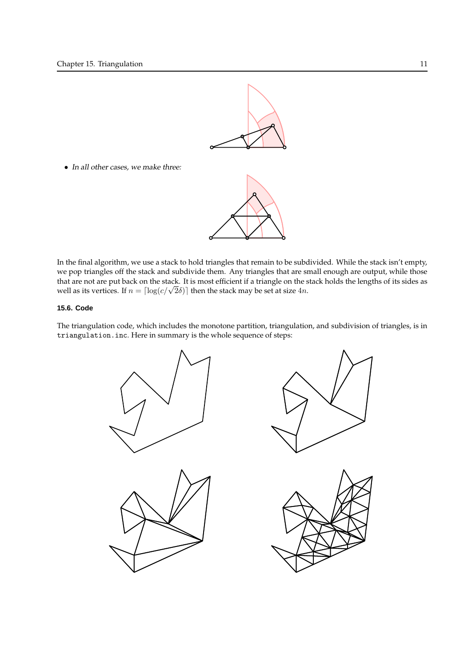

• In all other cases, we make three:



In the final algorithm, we use a stack to hold triangles that remain to be subdivided. While the stack isn't empty, we pop triangles off the stack and subdivide them. Any triangles that are small enough are output, while those that are not are put back on the stack. It is most efficient if a triangle on the stack holds the lengths of its sides as well as its vertices. If  $n = \lceil \log(c/\sqrt{2}\delta) \rceil$  then the stack may be set at size 4*n*.

# **15.6. Code**

The triangulation code, which includes the monotone partition, triangulation, and subdivision of triangles, is in triangulation.inc. Here in summary is the whole sequence of steps:

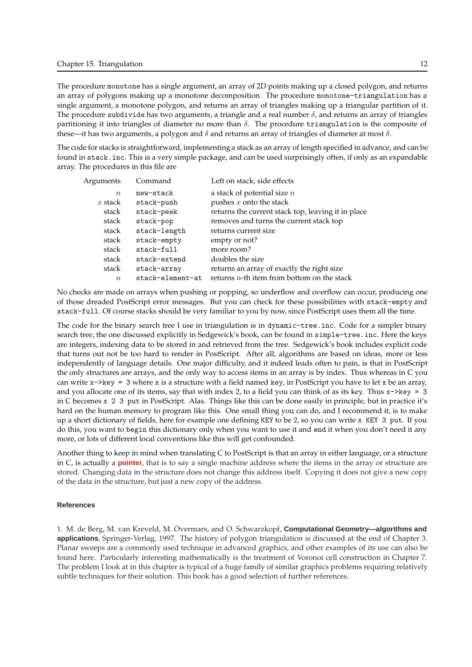The procedure monotone has a single argument, an array of 2D points making up a closed polygon, and returns an array of polygons making up a monotone decomposition. The procedure monotone-triangulation has a single argument, a monotone polygon, and returns an array of triangles making up a triangular partition of it. The procedure subdivide has two arguments, a triangle and a real number  $\delta$ , and returns an array of triangles partitioning it into triangles of diameter no more than  $\delta$ . The procedure triangulation is the composite of these—it has two arguments, a polygon and  $\delta$  and returns an array of triangles of diameter at most  $\delta$ .

The code for stacks is straightforward, implementing a stack as an array of length specified in advance, and can be found in stack.inc. This is a very simple package, and can be used surprisingly often, if only as an expandable array. The procedures in this file are

| Arguments   | Command          | Left on stack; side effects                        |
|-------------|------------------|----------------------------------------------------|
| $n_{\rm c}$ | new-stack        | a stack of potential size $n$                      |
| $x$ stack   | stack-push       | pushes $x$ onto the stack                          |
| stack       | stack-peek       | returns the current stack top, leaving it in place |
| stack       | stack-pop        | removes and turns the current stack top            |
| stack       | stack-length     | returns current size                               |
| stack       | stack-empty      | empty or not?                                      |
| stack       | stack-full       | more room?                                         |
| stack       | stack-extend     | doubles the size                                   |
| stack       | stack-array      | returns an array of exactly the right size         |
| $\eta$      | stack-element-at | returns $n$ -th item from bottom on the stack      |
|             |                  |                                                    |

No checks are made on arrays when pushing or popping, so underflow and overflow can occur, producing one of those dreaded PostScript error messages. But you can check for these possibilities with stack-empty and stack-full. Of course stacks should be very familiar to you by now, since PostScript uses them all the time.

The code for the binary search tree I use in triangulation is in dynamic-tree.inc. Code for a simpler binary search tree, the one discussed explicitly in Sedgewick's book, can be found in simple-tree.inc. Here the keys are integers, indexing data to be stored in and retrieved from the tree. Sedgewick's book includes explicit code that turns out not be too hard to render in PostScript. After all, algorithms are based on ideas, more or less independently of language details. One major difficulty, and it indeed leads often to pain, is that in PostScript the only structures are arrays, and the only way to access items in an array is by index. Thus whereas in C you can write  $x$ ->key = 3 where x is a structure with a field named key, in PostScript you have to let x be an array, and you allocate one of its items, say that with index 2, to a field you can think of as its key. Thus  $x$ ->key = 3 in C becomes x 2 3 put in PostScript. Alas. Things like this can be done easily in principle, but in practice it's hard on the human memory to program like this. One small thing you can do, and I recommend it, is to make up a short dictionary of fields, here for example one defining KEY to be 2, so you can write x KEY 3 put. If you do this, you want to begin this dictionary only when you want to use it and end it when you don't need it any more, or lots of different local conventions like this will get confounded.

Another thing to keep in mind when translating C to PostScript is that an array in either language, or a structure in C, is actually a **pointer**, that is to say a single machine address where the items in the array or structure are stored. Changing data in the structure does not change this address itself. Copying it does not give a new copy of the data in the structure, but just a new copy of the address.

#### **References**

1. M. de Berg, M. van Kreveld, M. Overmars, and O. Schwarzkopf, **Computational Geometry—algorithms and applications**, Springer-Verlag, 1997. The history of polygon triangulation is discussed at the end of Chapter 3. Planar sweeps are a commonly used technique in advanced graphics, and other examples of its use can also be found here. Particularly interesting mathematically is the treatment of Voronoi cell construction in Chapter 7. The problem I look at in this chapter is typical of a huge family of similar graphics problems requiring relatively subtle techniques for their solution. This book has a good selection of further references.